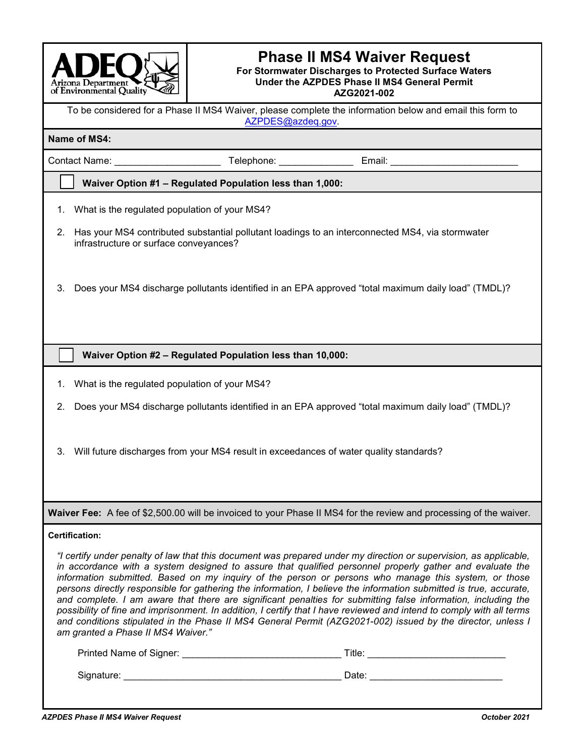

# **Phase II MS4 Waiver Request**

#### **For Stormwater Discharges to Protected Surface Waters Under the AZPDES Phase II MS4 General Permit AZG2021-002**

To be considered for a Phase II MS4 Waiver, please complete the information below and email this form to [AZPDES@azdeq.gov.](mailto:AZPDES@azdeq.gov)

#### **Name of MS4:**

Contact Name: \_\_\_\_\_\_\_\_\_\_\_\_\_\_\_\_\_\_\_\_ Telephone: \_\_\_\_\_\_\_\_\_\_\_\_\_\_ Email: \_\_\_\_\_\_\_\_\_\_\_\_\_\_\_\_\_\_\_\_\_\_\_\_

# **Waiver Option #1 – Regulated Population less than 1,000:**

- 1. What is the regulated population of your MS4?
- 2. Has your MS4 contributed substantial pollutant loadings to an interconnected MS4, via stormwater infrastructure or surface conveyances?
- 3. Does your MS4 discharge pollutants identified in an EPA approved "total maximum daily load" (TMDL)?

## **Waiver Option #2 – Regulated Population less than 10,000:**

- 1. What is the regulated population of your MS4?
- 2. Does your MS4 discharge pollutants identified in an EPA approved "total maximum daily load" (TMDL)?
- 3. Will future discharges from your MS4 result in exceedances of water quality standards?

**Waiver Fee:** A fee of \$2,500.00 will be invoiced to your Phase II MS4 for the review and processing of the waiver.

### **Certification:**

*"I certify under penalty of law that this document was prepared under my direction or supervision, as applicable, in accordance with a system designed to assure that qualified personnel properly gather and evaluate the information submitted. Based on my inquiry of the person or persons who manage this system, or those persons directly responsible for gathering the information, I believe the information submitted is true, accurate, and complete. I am aware that there are significant penalties for submitting false information, including the possibility of fine and imprisonment. In addition, I certify that I have reviewed and intend to comply with all terms and conditions stipulated in the Phase II MS4 General Permit (AZG2021-002) issued by the director, unless I am granted a Phase II MS4 Waiver."*

| Printed Name of Signer: | Title: |
|-------------------------|--------|
| Signature:              | Date:  |